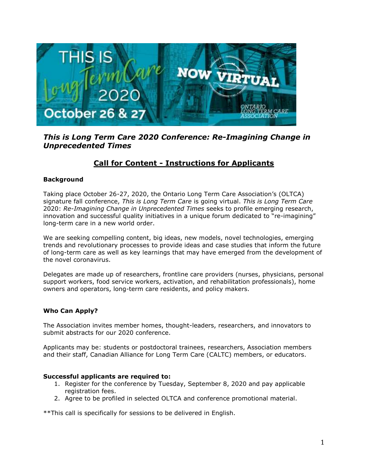

## *This is Long Term Care 2020 Conference: Re-Imagining Change in Unprecedented Times*

# **Call for Content - Instructions for Applicants**

#### **Background**

Taking place October 26-27, 2020, the Ontario Long Term Care Association's (OLTCA) signature fall conference, *This is Long Term Care* is going virtual. *This is Long Term Care* 2020: *Re-Imagining Change in Unprecedented Times* seeks to profile emerging research, innovation and successful quality initiatives in a unique forum dedicated to "re-imagining" long-term care in a new world order.

We are seeking compelling content, big ideas, new models, novel technologies, emerging trends and revolutionary processes to provide ideas and case studies that inform the future of long-term care as well as key learnings that may have emerged from the development of the novel coronavirus.

Delegates are made up of researchers, frontline care providers (nurses, physicians, personal support workers, food service workers, activation, and rehabilitation professionals), home owners and operators, long-term care residents, and policy makers.

## **Who Can Apply?**

The Association invites member homes, thought-leaders, researchers, and innovators to submit abstracts for our 2020 conference.

Applicants may be: students or postdoctoral trainees, researchers, Association members and their staff, Canadian Alliance for Long Term Care (CALTC) members, or educators.

#### **Successful applicants are required to:**

- 1. Register for the conference by Tuesday, September 8, 2020 and pay applicable registration fees.
- 2. Agree to be profiled in selected OLTCA and conference promotional material.

\*\*This call is specifically for sessions to be delivered in English.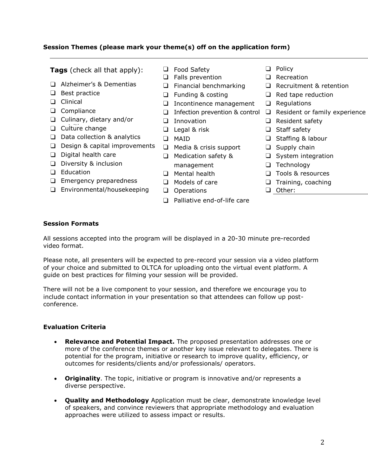## **Session Themes (please mark your theme(s) off on the application form)**

**Tags** (check all that apply):  $\Box$  Food Safety  $\Box$  Policy  $\Box$  Policy  $\Box$  Recreation  $\Box$  Falls prevention ❑ Alzheimer's & Dementias ❑ Financial benchmarking ❑ Recruitment & retention ❑ Best practice ❑ Funding & costing ❑ Red tape reduction ❑ Clinical ❑ Incontinence management ❑ Regulations ❑ Compliance ❑ Infection prevention & control ❑ Resident or family experience ❑ Culinary, dietary and/or nutrition ❑ Culture change ❑ Legal & risk ❑ Staff safety ❑ Innovation ❑ Resident safety ❑ Data collection & analytics ❑ MAID ❑ Staffing & labour ❑ Design & capital improvements ❑ Media & crisis support ❑ Supply chain ❑ Digital health care ❑ Medication safety & ❑ System integration ❑ Diversity & inclusion management ❑ Technology ❑ Education ❑ Mental health ❑ Tools & resources

- 
- 

- 
- ❑ Emergency preparedness ❑ Models of care ❑ Training, coaching
- ❑ Environmental/housekeeping ❑ Operations ❑ Other:
- 
- - ❑ Palliative end-of-life care

## **Session Formats**

All sessions accepted into the program will be displayed in a 20-30 minute pre-recorded video format.

Please note, all presenters will be expected to pre-record your session via a video platform of your choice and submitted to OLTCA for uploading onto the virtual event platform. A guide on best practices for filming your session will be provided.

There will not be a live component to your session, and therefore we encourage you to include contact information in your presentation so that attendees can follow up postconference.

## **Evaluation Criteria**

- **Relevance and Potential Impact.** The proposed presentation addresses one or more of the conference themes or another key issue relevant to delegates. There is potential for the program, initiative or research to improve quality, efficiency, or outcomes for residents/clients and/or professionals/ operators.
- **Originality**. The topic, initiative or program is innovative and/or represents a diverse perspective.
- **Quality and Methodology** Application must be clear, demonstrate knowledge level of speakers, and convince reviewers that appropriate methodology and evaluation approaches were utilized to assess impact or results.
- 
- 

- 
-